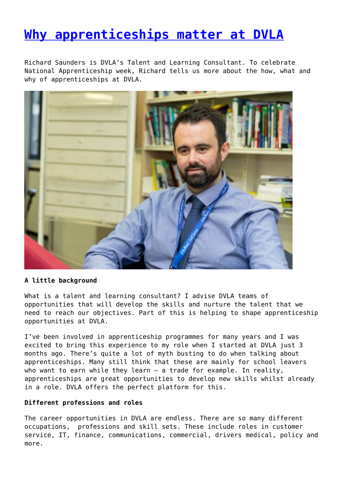## **[Why apprenticeships matter at DVLA](http://www.government-world.com/why-apprenticeships-matter-at-dvla/)**

Richard Saunders is DVLA's Talent and Learning Consultant. To celebrate National Apprenticeship week, Richard tells us more about the how, what and why of apprenticeships at DVLA.



### **A little background**

What is a talent and learning consultant? I advise DVLA teams of opportunities that will develop the skills and nurture the talent that we need to reach our objectives. Part of this is helping to shape apprenticeship opportunities at DVLA.

I've been involved in apprenticeship programmes for many years and I was excited to bring this experience to my role when I started at DVLA just 3 months ago. There's quite a lot of myth busting to do when talking about apprenticeships. Many still think that these are mainly for school leavers who want to earn while they learn – a trade for example. In reality, apprenticeships are great opportunities to develop new skills whilst already in a role. DVLA offers the perfect platform for this.

### **Different professions and roles**

The career opportunities in DVLA are endless. There are so many different occupations, professions and skill sets. These include roles in customer service, IT, finance, communications, commercial, drivers medical, policy and more.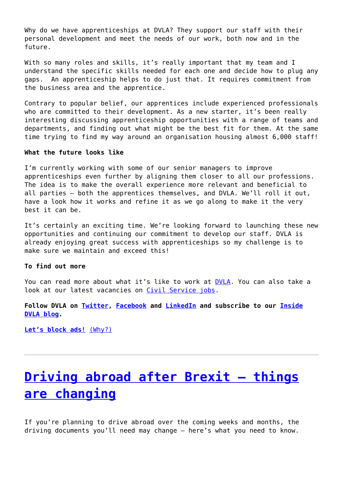Why do we have apprenticeships at DVLA? They support our staff with their personal development and meet the needs of our work, both now and in the future.

With so many roles and skills, it's really important that my team and I understand the specific skills needed for each one and decide how to plug any gaps. An apprenticeship helps to do just that. It requires commitment from the business area and the apprentice.

Contrary to popular belief, our apprentices include experienced professionals who are committed to their development. As a new starter, it's been really interesting discussing apprenticeship opportunities with a range of teams and departments, and finding out what might be the best fit for them. At the same time trying to find my way around an organisation housing almost 6,000 staff!

#### **What the future looks like**

I'm currently working with some of our senior managers to improve apprenticeships even further by aligning them closer to all our professions. The idea is to make the overall experience more relevant and beneficial to all parties – both the apprentices themselves, and DVLA. We'll roll it out, have a look how it works and refine it as we go along to make it the very best it can be.

It's certainly an exciting time. We're looking forward to launching these new opportunities and continuing our commitment to develop our staff. DVLA is already enjoying great success with apprenticeships so my challenge is to make sure we maintain and exceed this!

### **To find out more**

You can read more about what it's like to work at [DVLA](https://www.gov.uk/government/organisations/driver-and-vehicle-licensing-agency/about/recruitment). You can also take a look at our latest vacancies on [Civil Service jobs.](https://www.civilservicejobs.service.gov.uk/csr/index.cgi?pageclass=Jobs&pageaction=searchbyquick&storesearchcontext=1&nghr_dept=183883)

**Follow DVLA on [Twitter](https://twitter.com/DVLAgovuk), [Facebook](https://www.facebook.com/dvlagovuk) and [LinkedIn](https://www.linkedin.com/company/driver-and-vehicle-licensing-agency) and subscribe to our [Inside](https://insidedvla.blog.gov.uk/) [DVLA blog](https://insidedvla.blog.gov.uk/).**

**[Let's block ads!](https://blockads.fivefilters.org/)** [\(Why?\)](https://blockads.fivefilters.org/acceptable.html)

# **[Driving abroad after Brexit – things](http://www.government-world.com/driving-abroad-after-brexit-things-are-changing/) [are changing](http://www.government-world.com/driving-abroad-after-brexit-things-are-changing/)**

If you're planning to drive abroad over the coming weeks and months, the driving documents you'll need may change – here's what you need to know.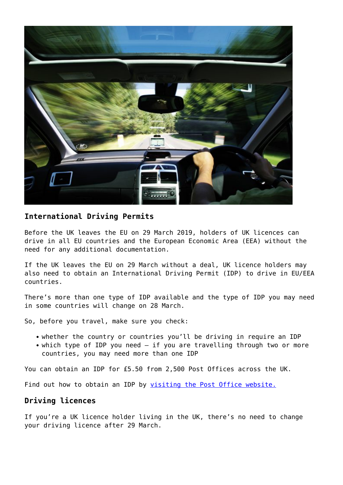

## **International Driving Permits**

Before the UK leaves the EU on 29 March 2019, holders of UK licences can drive in all EU countries and the European Economic Area (EEA) without the need for any additional documentation.

If the UK leaves the EU on 29 March without a deal, UK licence holders may also need to obtain an International Driving Permit (IDP) to drive in EU/EEA countries.

There's more than one type of IDP available and the type of IDP you may need in some countries will change on 28 March.

So, before you travel, make sure you check:

- whether the country or countries you'll be driving in require an IDP
- which type of IDP you need if you are travelling through two or more countries, you may need more than one IDP

You can obtain an IDP for £5.50 from 2,500 Post Offices across the UK.

Find out how to obtain an IDP by [visiting the Post Office website.](http://www.postoffice.co.uk/international-driving-permit)

## **Driving licences**

If you're a UK licence holder living in the UK, there's no need to change your driving licence after 29 March.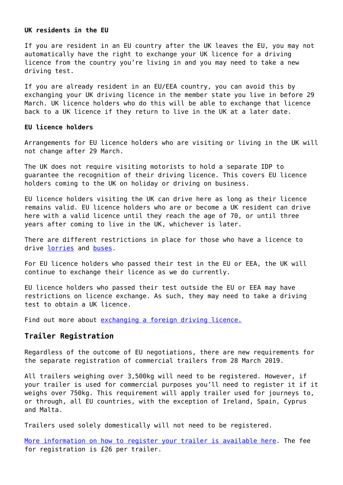#### **UK residents in the EU**

If you are resident in an EU country after the UK leaves the EU, you may not automatically have the right to exchange your UK licence for a driving licence from the country you're living in and you may need to take a new driving test.

If you are already resident in an EU/EEA country, you can avoid this by exchanging your UK driving licence in the member state you live in before 29 March. UK licence holders who do this will be able to exchange that licence back to a UK licence if they return to live in the UK at a later date.

### **EU licence holders**

Arrangements for EU licence holders who are visiting or living in the UK will not change after 29 March.

The UK does not require visiting motorists to hold a separate IDP to guarantee the recognition of their driving licence. This covers EU licence holders coming to the UK on holiday or driving on business.

EU licence holders visiting the UK can drive here as long as their licence remains valid. EU licence holders who are or become a UK resident can drive here with a valid licence until they reach the age of 70, or until three years after coming to live in the UK, whichever is later.

There are different restrictions in place for those who have a licence to drive [lorries](https://www.gov.uk/guidance/prepare-to-drive-in-the-eu-after-brexit-lorry-and-goods-vehicle-drivers) and [buses.](https://www.gov.uk/guidance/prepare-to-drive-in-the-eu-after-brexit-bus-and-coach-drivers)

For EU licence holders who passed their test in the EU or EEA, the UK will continue to exchange their licence as we do currently.

EU licence holders who passed their test outside the EU or EEA may have restrictions on licence exchange. As such, they may need to take a driving test to obtain a UK licence.

Find out more about [exchanging a foreign driving licence.](https://www.gov.uk/exchange-foreign-driving-licence)

### **Trailer Registration**

Regardless of the outcome of EU negotiations, there are new requirements for the separate registration of commercial trailers from 28 March 2019.

All trailers weighing over 3,500kg will need to be registered. However, if your trailer is used for commercial purposes you'll need to register it if it weighs over 750kg. This requirement will apply trailer used for journeys to, or through, all EU countries, with the exception of Ireland, Spain, Cyprus and Malta.

Trailers used solely domestically will not need to be registered.

[More information on how to register your trailer is available here.](https://www.gov.uk/guidance/trailer-registration) The fee for registration is £26 per trailer.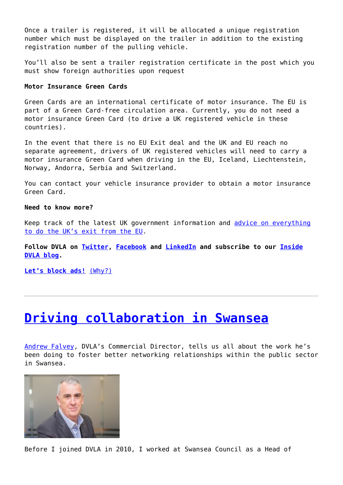Once a trailer is registered, it will be allocated a unique registration number which must be displayed on the trailer in addition to the existing registration number of the pulling vehicle.

You'll also be sent a trailer registration certificate in the post which you must show foreign authorities upon request

### **Motor Insurance Green Cards**

Green Cards are an international certificate of motor insurance. The EU is part of a Green Card-free circulation area. Currently, you do not need a motor insurance Green Card (to drive a UK registered vehicle in these countries).

In the event that there is no EU Exit deal and the UK and EU reach no separate agreement, drivers of UK registered vehicles will need to carry a motor insurance Green Card when driving in the EU, Iceland, Liechtenstein, Norway, Andorra, Serbia and Switzerland.

You can contact your vehicle insurance provider to obtain a motor insurance Green Card.

### **Need to know more?**

Keep track of the latest UK government information and [advice on everything](https://euexit.campaign.gov.uk/) [to do the UK's exit from the EU.](https://euexit.campaign.gov.uk/)

**Follow DVLA on [Twitter](https://twitter.com/DVLAgovuk), [Facebook](https://www.facebook.com/dvlagovuk) and [LinkedIn](https://www.linkedin.com/company/driver-and-vehicle-licensing-agency) and subscribe to our [Inside](https://insidedvla.blog.gov.uk/) [DVLA blog](https://insidedvla.blog.gov.uk/).**

**[Let's block ads!](https://blockads.fivefilters.org/)** [\(Why?\)](https://blockads.fivefilters.org/acceptable.html)

## **[Driving collaboration in Swansea](http://www.government-world.com/driving-collaboration-in-swansea/)**

[Andrew Falvey,](https://www.gov.uk/government/people/andrew-falvey) DVLA's Commercial Director, tells us all about the work he's been doing to foster better networking relationships within the public sector in Swansea.



Before I joined DVLA in 2010, I worked at Swansea Council as a Head of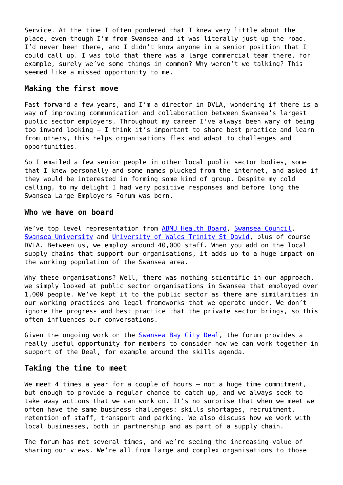Service. At the time I often pondered that I knew very little about the place, even though I'm from Swansea and it was literally just up the road. I'd never been there, and I didn't know anyone in a senior position that I could call up. I was told that there was a large commercial team there, for example, surely we've some things in common? Why weren't we talking? This seemed like a missed opportunity to me.

### **Making the first move**

Fast forward a few years, and I'm a director in DVLA, wondering if there is a way of improving communication and collaboration between Swansea's largest public sector employers. Throughout my career I've always been wary of being too inward looking – I think it's important to share best practice and learn from others, this helps organisations flex and adapt to challenges and opportunities.

So I emailed a few senior people in other local public sector bodies, some that I knew personally and some names plucked from the internet, and asked if they would be interested in forming some kind of group. Despite my cold calling, to my delight I had very positive responses and before long the Swansea Large Employers Forum was born.

### **Who we have on board**

We've top level representation from [ABMU Health Board](http://www.wales.nhs.uk/sitesplus/863/home), [Swansea Council](https://www.swansea.gov.uk/residents), [Swansea University](https://www.swansea.ac.uk/) and [University of Wales Trinity St David](https://www.uwtsd.ac.uk/), plus of course DVLA. Between us, we employ around 40,000 staff. When you add on the local supply chains that support our organisations, it adds up to a huge impact on the working population of the Swansea area.

Why these organisations? Well, there was nothing scientific in our approach, we simply looked at public sector organisations in Swansea that employed over 1,000 people. We've kept it to the public sector as there are similarities in our working practices and legal frameworks that we operate under. We don't ignore the progress and best practice that the private sector brings, so this often influences our conversations.

Given the ongoing work on the **Swansea Bay City Deal**, the forum provides a really useful opportunity for members to consider how we can work together in support of the Deal, for example around the skills agenda.

### **Taking the time to meet**

We meet 4 times a year for a couple of hours - not a huge time commitment, but enough to provide a regular chance to catch up, and we always seek to take away actions that we can work on. It's no surprise that when we meet we often have the same business challenges: skills shortages, recruitment, retention of staff, transport and parking. We also discuss how we work with local businesses, both in partnership and as part of a supply chain.

The forum has met several times, and we're seeing the increasing value of sharing our views. We're all from large and complex organisations to those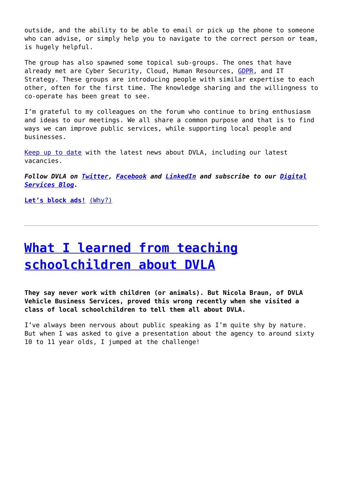outside, and the ability to be able to email or pick up the phone to someone who can advise, or simply help you to navigate to the correct person or team, is hugely helpful.

The group has also spawned some topical sub-groups. The ones that have already met are Cyber Security, Cloud, Human Resources, [GDPR,](https://www.gov.uk/government/publications/guide-to-the-general-data-protection-regulation) and IT Strategy. These groups are introducing people with similar expertise to each other, often for the first time. The knowledge sharing and the willingness to co-operate has been great to see.

I'm grateful to my colleagues on the forum who continue to bring enthusiasm and ideas to our meetings. We all share a common purpose and that is to find ways we can improve public services, while supporting local people and businesses.

[Keep up to date](https://www.gov.uk/government/organisations/driver-and-vehicle-licensing-agency) with the latest news about DVLA, including our latest vacancies.

*Follow DVLA on [Twitter](https://twitter.com/DVLAgovuk), [Facebook](https://www.facebook.com/dvlagovuk) and [LinkedIn](https://www.linkedin.com/company/driver-and-vehicle-licensing-agency) and subscribe to our [Digital](https://dvladigital.blog.gov.uk/) [Services Blog.](https://dvladigital.blog.gov.uk/)*

**[Let's block ads!](https://blockads.fivefilters.org/)** [\(Why?\)](https://blockads.fivefilters.org/acceptable.html)

## **[What I learned from teaching](http://www.government-world.com/what-i-learned-from-teaching-schoolchildren-about-dvla/) [schoolchildren about DVLA](http://www.government-world.com/what-i-learned-from-teaching-schoolchildren-about-dvla/)**

**They say never work with children (or animals). But Nicola Braun, of DVLA Vehicle Business Services, proved this wrong recently when she visited a class of local schoolchildren to tell them all about DVLA.**

I've always been nervous about public speaking as I'm quite shy by nature. But when I was asked to give a presentation about the agency to around sixty 10 to 11 year olds, I jumped at the challenge!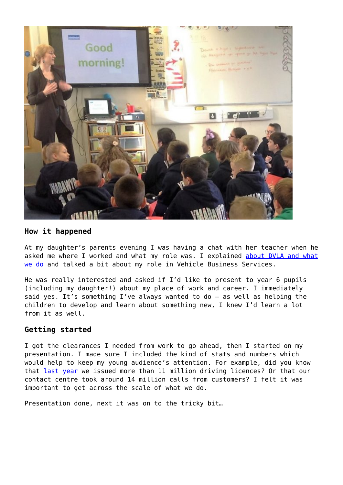

### **How it happened**

At my daughter's parents evening I was having a chat with her teacher when he asked me where I worked and what my role was. I explained [about DVLA and what](https://www.gov.uk/government/organisations/driver-and-vehicle-licensing-agency) [we do](https://www.gov.uk/government/organisations/driver-and-vehicle-licensing-agency) and talked a bit about my role in Vehicle Business Services.

He was really interested and asked if I'd like to present to year 6 pupils (including my daughter!) about my place of work and career. I immediately said yes. It's something I've always wanted to do – as well as helping the children to develop and learn about something new, I knew I'd learn a lot from it as well.

## **Getting started**

I got the clearances I needed from work to go ahead, then I started on my presentation. I made sure I included the kind of stats and numbers which would help to keep my young audience's attention. For example, did you know that [last year](https://www.gov.uk/government/publications/dvla-annual-report-and-accounts-2017-to-2018) we issued more than 11 million driving licences? Or that our contact centre took around 14 million calls from customers? I felt it was important to get across the scale of what we do.

Presentation done, next it was on to the tricky bit…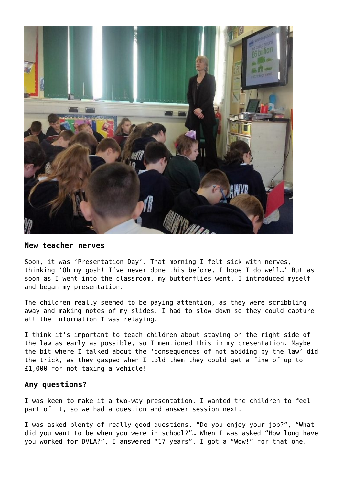

### **New teacher nerves**

Soon, it was 'Presentation Day'. That morning I felt sick with nerves, thinking 'Oh my gosh! I've never done this before, I hope I do well…' But as soon as I went into the classroom, my butterflies went. I introduced myself and began my presentation.

The children really seemed to be paying attention, as they were scribbling away and making notes of my slides. I had to slow down so they could capture all the information I was relaying.

I think it's important to teach children about staying on the right side of the law as early as possible, so I mentioned this in my presentation. Maybe the bit where I talked about the 'consequences of not abiding by the law' did the trick, as they gasped when I told them they could get a fine of up to £1,000 for not taxing a vehicle!

### **Any questions?**

I was keen to make it a two-way presentation. I wanted the children to feel part of it, so we had a question and answer session next.

I was asked plenty of really good questions. "Do you enjoy your job?", "What did you want to be when you were in school?"… When I was asked "How long have you worked for DVLA?", I answered "17 years". I got a "Wow!" for that one.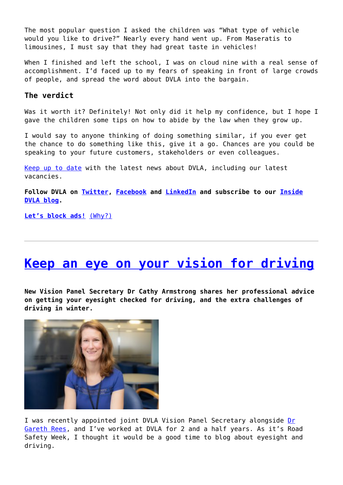The most popular question I asked the children was "What type of vehicle would you like to drive?" Nearly every hand went up. From Maseratis to limousines, I must say that they had great taste in vehicles!

When I finished and left the school, I was on cloud nine with a real sense of accomplishment. I'd faced up to my fears of speaking in front of large crowds of people, and spread the word about DVLA into the bargain.

### **The verdict**

Was it worth it? Definitely! Not only did it help my confidence, but I hope I gave the children some tips on how to abide by the law when they grow up.

I would say to anyone thinking of doing something similar, if you ever get the chance to do something like this, give it a go. Chances are you could be speaking to your future customers, stakeholders or even colleagues.

[Keep up to date](https://www.gov.uk/government/organisations/driver-and-vehicle-licensing-agency) with the latest news about DVLA, including our latest vacancies.

**Follow DVLA on [Twitter](https://twitter.com/DVLAgovuk), [Facebook](https://www.facebook.com/dvlagovuk) and [LinkedIn](https://www.linkedin.com/company/driver-and-vehicle-licensing-agency) and subscribe to our [Inside](https://insidedvla.blog.gov.uk/) [DVLA blog](https://insidedvla.blog.gov.uk/).**

**[Let's block ads!](https://blockads.fivefilters.org/)** [\(Why?\)](https://blockads.fivefilters.org/acceptable.html)

# **[Keep an eye on your vision for driving](http://www.government-world.com/keep-an-eye-on-your-vision-for-driving/)**

**New Vision Panel Secretary Dr Cathy Armstrong shares her professional advice on getting your eyesight checked for driving, and the extra challenges of driving in winter.**



I was recently appointed joint DVLA Vision Panel Secretary alongside [Dr](https://insidedvla.blog.gov.uk/author/dr-gareth-rees/) [Gareth Rees](https://insidedvla.blog.gov.uk/author/dr-gareth-rees/), and I've worked at DVLA for 2 and a half years. As it's Road Safety Week, I thought it would be a good time to blog about eyesight and driving.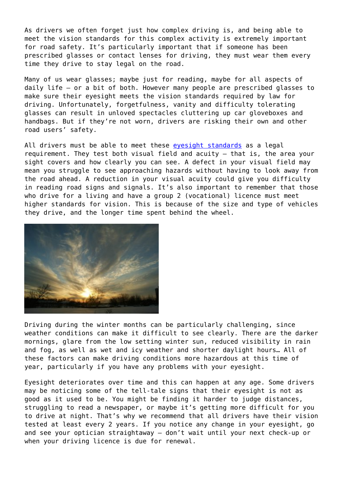As drivers we often forget just how complex driving is, and being able to meet the vision standards for this complex activity is extremely important for road safety. It's particularly important that if someone has been prescribed glasses or contact lenses for driving, they must wear them every time they drive to stay legal on the road.

Many of us wear glasses; maybe just for reading, maybe for all aspects of daily life – or a bit of both. However many people are prescribed glasses to make sure their eyesight meets the vision standards required by law for driving. Unfortunately, forgetfulness, vanity and difficulty tolerating glasses can result in unloved spectacles cluttering up car gloveboxes and handbags. But if they're not worn, drivers are risking their own and other road users' safety.

All drivers must be able to meet these [eyesight standards](https://www.gov.uk/driving-eyesight-rules) as a legal requirement. They test both visual field and acuity – that is, the area your sight covers and how clearly you can see. A defect in your visual field may mean you struggle to see approaching hazards without having to look away from the road ahead. A reduction in your visual acuity could give you difficulty in reading road signs and signals. It's also important to remember that those who drive for a living and have a group 2 (vocational) licence must meet higher standards for vision. This is because of the size and type of vehicles they drive, and the longer time spent behind the wheel.



Driving during the winter months can be particularly challenging, since weather conditions can make it difficult to see clearly. There are the darker mornings, glare from the low setting winter sun, reduced visibility in rain and fog, as well as wet and icy weather and shorter daylight hours… All of these factors can make driving conditions more hazardous at this time of year, particularly if you have any problems with your eyesight.

Eyesight deteriorates over time and this can happen at any age. Some drivers may be noticing some of the tell-tale signs that their eyesight is not as good as it used to be. You might be finding it harder to judge distances, struggling to read a newspaper, or maybe it's getting more difficult for you to drive at night. That's why we recommend that all drivers have their vision tested at least every 2 years. If you notice any change in your eyesight, go and see your optician straightaway – don't wait until your next check-up or when your driving licence is due for renewal.